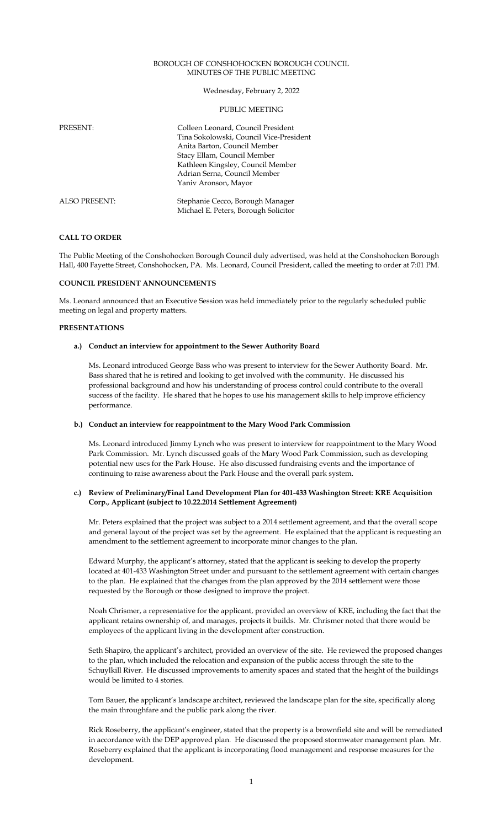#### BOROUGH OF CONSHOHOCKEN BOROUGH COUNCIL MINUTES OF THE PUBLIC MEETING

## Wednesday, February 2, 2022

### PUBLIC MEETING

| <b>PRESENT:</b>      | Colleen Leonard, Council President<br>Tina Sokolowski, Council Vice-President<br>Anita Barton, Council Member<br>Stacy Ellam, Council Member<br>Kathleen Kingsley, Council Member<br>Adrian Serna, Council Member<br>Yaniv Aronson, Mayor |
|----------------------|-------------------------------------------------------------------------------------------------------------------------------------------------------------------------------------------------------------------------------------------|
| <b>ALSO PRESENT:</b> | Stephanie Cecco, Borough Manager<br>Michael E. Peters, Borough Solicitor                                                                                                                                                                  |

### **CALL TO ORDER**

The Public Meeting of the Conshohocken Borough Council duly advertised, was held at the Conshohocken Borough Hall, 400 Fayette Street, Conshohocken, PA. Ms. Leonard, Council President, called the meeting to order at 7:01 PM.

### **COUNCIL PRESIDENT ANNOUNCEMENTS**

Ms. Leonard announced that an Executive Session was held immediately prior to the regularly scheduled public meeting on legal and property matters.

#### **PRESENTATIONS**

### **a.) Conduct an interview for appointment to the Sewer Authority Board**

Ms. Leonard introduced George Bass who was present to interview for the Sewer Authority Board. Mr. Bass shared that he is retired and looking to get involved with the community. He discussed his professional background and how his understanding of process control could contribute to the overall success of the facility. He shared that he hopes to use his management skills to help improve efficiency performance.

#### **b.) Conduct an interview for reappointment to the Mary Wood Park Commission**

Ms. Leonard introduced Jimmy Lynch who was present to interview for reappointment to the Mary Wood Park Commission. Mr. Lynch discussed goals of the Mary Wood Park Commission, such as developing potential new uses for the Park House. He also discussed fundraising events and the importance of continuing to raise awareness about the Park House and the overall park system.

#### **c.) Review of Preliminary/Final Land Development Plan for 401-433 Washington Street: KRE Acquisition Corp., Applicant (subject to 10.22.2014 Settlement Agreement)**

Mr. Peters explained that the project was subject to a 2014 settlement agreement, and that the overall scope and general layout of the project was set by the agreement. He explained that the applicant is requesting an amendment to the settlement agreement to incorporate minor changes to the plan.

Edward Murphy, the applicant's attorney, stated that the applicant is seeking to develop the property located at 401-433 Washington Street under and pursuant to the settlement agreement with certain changes to the plan. He explained that the changes from the plan approved by the 2014 settlement were those requested by the Borough or those designed to improve the project.

Noah Chrismer, a representative for the applicant, provided an overview of KRE, including the fact that the applicant retains ownership of, and manages, projects it builds. Mr. Chrismer noted that there would be employees of the applicant living in the development after construction.

Seth Shapiro, the applicant's architect, provided an overview of the site. He reviewed the proposed changes to the plan, which included the relocation and expansion of the public access through the site to the Schuylkill River. He discussed improvements to amenity spaces and stated that the height of the buildings would be limited to 4 stories.

Tom Bauer, the applicant's landscape architect, reviewed the landscape plan for the site, specifically along the main throughfare and the public park along the river.

Rick Roseberry, the applicant's engineer, stated that the property is a brownfield site and will be remediated in accordance with the DEP approved plan. He discussed the proposed stormwater management plan. Mr. Roseberry explained that the applicant is incorporating flood management and response measures for the development.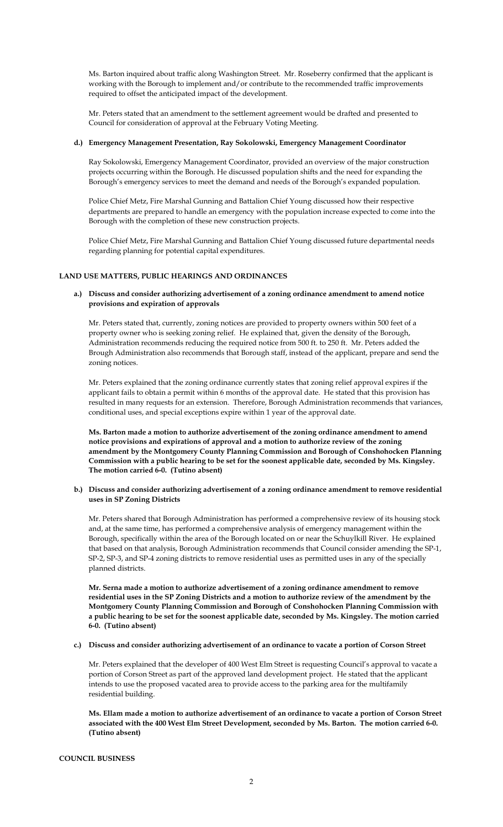Ms. Barton inquired about traffic along Washington Street. Mr. Roseberry confirmed that the applicant is working with the Borough to implement and/or contribute to the recommended traffic improvements required to offset the anticipated impact of the development.

Mr. Peters stated that an amendment to the settlement agreement would be drafted and presented to Council for consideration of approval at the February Voting Meeting.

### **d.) Emergency Management Presentation, Ray Sokolowski, Emergency Management Coordinator**

Ray Sokolowski, Emergency Management Coordinator, provided an overview of the major construction projects occurring within the Borough. He discussed population shifts and the need for expanding the Borough's emergency services to meet the demand and needs of the Borough's expanded population.

Police Chief Metz, Fire Marshal Gunning and Battalion Chief Young discussed how their respective departments are prepared to handle an emergency with the population increase expected to come into the Borough with the completion of these new construction projects.

Police Chief Metz, Fire Marshal Gunning and Battalion Chief Young discussed future departmental needs regarding planning for potential capital expenditures.

## **LAND USE MATTERS, PUBLIC HEARINGS AND ORDINANCES**

### **a.) Discuss and consider authorizing advertisement of a zoning ordinance amendment to amend notice provisions and expiration of approvals**

Mr. Peters stated that, currently, zoning notices are provided to property owners within 500 feet of a property owner who is seeking zoning relief. He explained that, given the density of the Borough, Administration recommends reducing the required notice from 500 ft. to 250 ft. Mr. Peters added the Brough Administration also recommends that Borough staff, instead of the applicant, prepare and send the zoning notices.

Mr. Peters explained that the zoning ordinance currently states that zoning relief approval expires if the applicant fails to obtain a permit within 6 months of the approval date. He stated that this provision has resulted in many requests for an extension. Therefore, Borough Administration recommends that variances, conditional uses, and special exceptions expire within 1 year of the approval date.

**Ms. Barton made a motion to authorize advertisement of the zoning ordinance amendment to amend notice provisions and expirations of approval and a motion to authorize review of the zoning amendment by the Montgomery County Planning Commission and Borough of Conshohocken Planning Commission with a public hearing to be set for the soonest applicable date, seconded by Ms. Kingsley. The motion carried 6-0. (Tutino absent)** 

**b.) Discuss and consider authorizing advertisement of a zoning ordinance amendment to remove residential uses in SP Zoning Districts** 

Mr. Peters shared that Borough Administration has performed a comprehensive review of its housing stock and, at the same time, has performed a comprehensive analysis of emergency management within the Borough, specifically within the area of the Borough located on or near the Schuylkill River. He explained that based on that analysis, Borough Administration recommends that Council consider amending the SP-1, SP-2, SP-3, and SP-4 zoning districts to remove residential uses as permitted uses in any of the specially planned districts.

**Mr. Serna made a motion to authorize advertisement of a zoning ordinance amendment to remove residential uses in the SP Zoning Districts and a motion to authorize review of the amendment by the Montgomery County Planning Commission and Borough of Conshohocken Planning Commission with a public hearing to be set for the soonest applicable date, seconded by Ms. Kingsley. The motion carried 6-0. (Tutino absent)** 

**c.) Discuss and consider authorizing advertisement of an ordinance to vacate a portion of Corson Street** 

Mr. Peters explained that the developer of 400 West Elm Street is requesting Council's approval to vacate a portion of Corson Street as part of the approved land development project. He stated that the applicant intends to use the proposed vacated area to provide access to the parking area for the multifamily residential building.

**Ms. Ellam made a motion to authorize advertisement of an ordinance to vacate a portion of Corson Street associated with the 400 West Elm Street Development, seconded by Ms. Barton. The motion carried 6-0. (Tutino absent)**

#### **COUNCIL BUSINESS**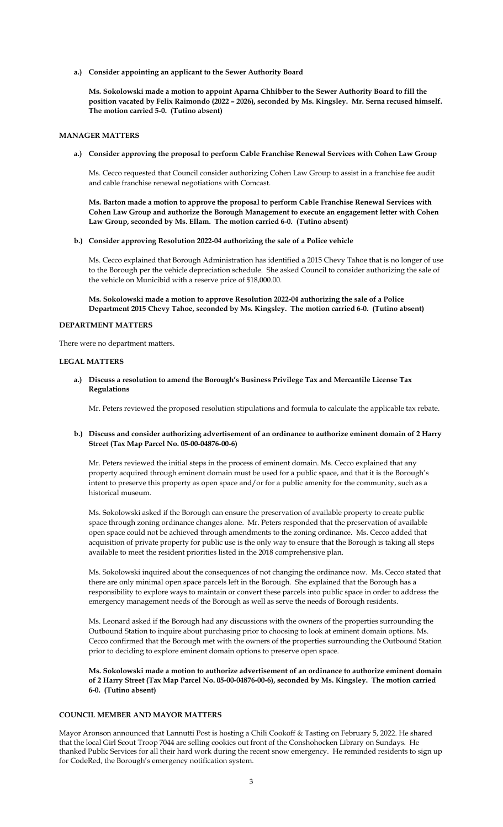**a.) Consider appointing an applicant to the Sewer Authority Board**

**Ms. Sokolowski made a motion to appoint Aparna Chhibber to the Sewer Authority Board to fill the position vacated by Felix Raimondo (2022 – 2026), seconded by Ms. Kingsley. Mr. Serna recused himself. The motion carried 5-0. (Tutino absent)**

## **MANAGER MATTERS**

**a.) Consider approving the proposal to perform Cable Franchise Renewal Services with Cohen Law Group**

Ms. Cecco requested that Council consider authorizing Cohen Law Group to assist in a franchise fee audit and cable franchise renewal negotiations with Comcast.

**Ms. Barton made a motion to approve the proposal to perform Cable Franchise Renewal Services with Cohen Law Group and authorize the Borough Management to execute an engagement letter with Cohen Law Group, seconded by Ms. Ellam. The motion carried 6-0. (Tutino absent)**

#### **b.) Consider approving Resolution 2022-04 authorizing the sale of a Police vehicle**

Ms. Cecco explained that Borough Administration has identified a 2015 Chevy Tahoe that is no longer of use to the Borough per the vehicle depreciation schedule. She asked Council to consider authorizing the sale of the vehicle on Municibid with a reserve price of \$18,000.00.

**Ms. Sokolowski made a motion to approve Resolution 2022-04 authorizing the sale of a Police Department 2015 Chevy Tahoe, seconded by Ms. Kingsley. The motion carried 6-0. (Tutino absent)**

#### **DEPARTMENT MATTERS**

There were no department matters.

#### **LEGAL MATTERS**

**a.) Discuss a resolution to amend the Borough's Business Privilege Tax and Mercantile License Tax Regulations** 

Mr. Peters reviewed the proposed resolution stipulations and formula to calculate the applicable tax rebate.

### **b.) Discuss and consider authorizing advertisement of an ordinance to authorize eminent domain of 2 Harry Street (Tax Map Parcel No. 05-00-04876-00-6)**

Mr. Peters reviewed the initial steps in the process of eminent domain. Ms. Cecco explained that any property acquired through eminent domain must be used for a public space, and that it is the Borough's intent to preserve this property as open space and/or for a public amenity for the community, such as a historical museum.

Ms. Sokolowski asked if the Borough can ensure the preservation of available property to create public space through zoning ordinance changes alone. Mr. Peters responded that the preservation of available open space could not be achieved through amendments to the zoning ordinance. Ms. Cecco added that acquisition of private property for public use is the only way to ensure that the Borough is taking all steps available to meet the resident priorities listed in the 2018 comprehensive plan.

Ms. Sokolowski inquired about the consequences of not changing the ordinance now. Ms. Cecco stated that there are only minimal open space parcels left in the Borough. She explained that the Borough has a responsibility to explore ways to maintain or convert these parcels into public space in order to address the emergency management needs of the Borough as well as serve the needs of Borough residents.

Ms. Leonard asked if the Borough had any discussions with the owners of the properties surrounding the Outbound Station to inquire about purchasing prior to choosing to look at eminent domain options. Ms. Cecco confirmed that the Borough met with the owners of the properties surrounding the Outbound Station prior to deciding to explore eminent domain options to preserve open space.

**Ms. Sokolowski made a motion to authorize advertisement of an ordinance to authorize eminent domain of 2 Harry Street (Tax Map Parcel No. 05-00-04876-00-6), seconded by Ms. Kingsley. The motion carried 6-0. (Tutino absent)** 

# **COUNCIL MEMBER AND MAYOR MATTERS**

Mayor Aronson announced that Lannutti Post is hosting a Chili Cookoff & Tasting on February 5, 2022. He shared that the local Girl Scout Troop 7044 are selling cookies out front of the Conshohocken Library on Sundays. He thanked Public Services for all their hard work during the recent snow emergency. He reminded residents to sign up for CodeRed, the Borough's emergency notification system.